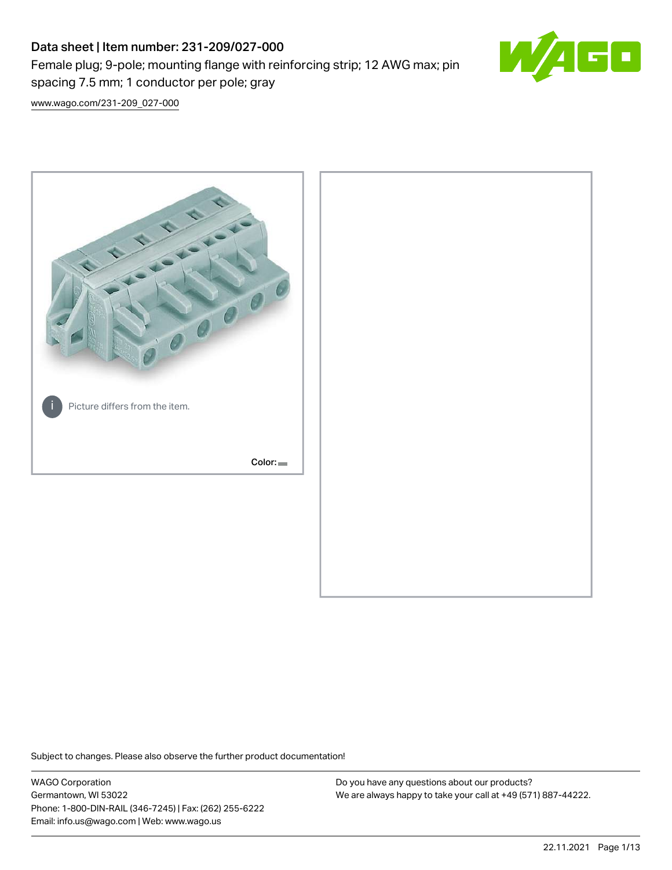# Data sheet | Item number: 231-209/027-000

Female plug; 9-pole; mounting flange with reinforcing strip; 12 AWG max; pin spacing 7.5 mm; 1 conductor per pole; gray



[www.wago.com/231-209\\_027-000](http://www.wago.com/231-209_027-000)



Subject to changes. Please also observe the further product documentation!

WAGO Corporation Germantown, WI 53022 Phone: 1-800-DIN-RAIL (346-7245) | Fax: (262) 255-6222 Email: info.us@wago.com | Web: www.wago.us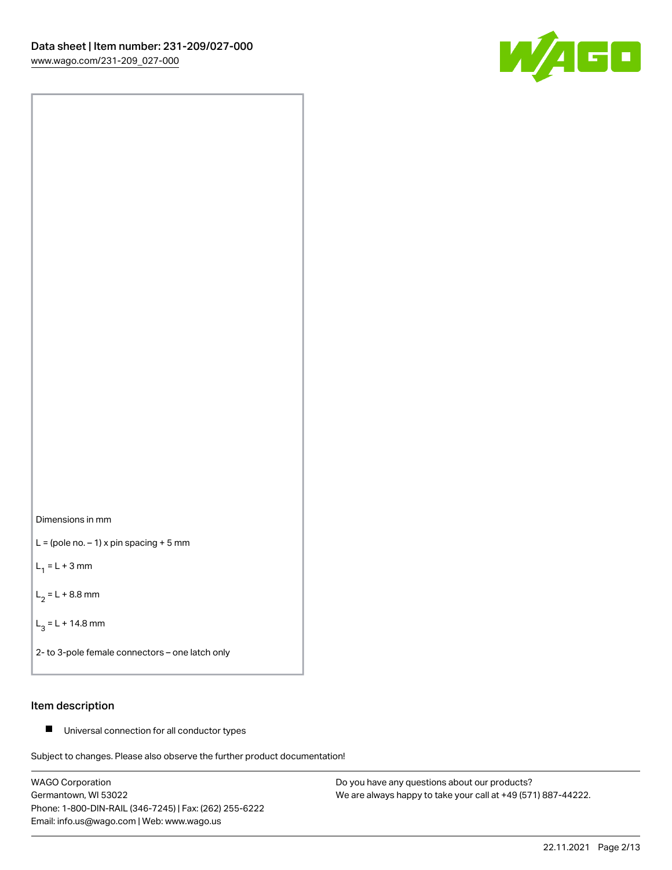



 $L =$  (pole no.  $-1$ ) x pin spacing + 5 mm

 $L_1 = L + 3$  mm

 $L_2 = L + 8.8$  mm

 $L_3 = L + 14.8$  mm

2- to 3-pole female connectors – one latch only

## Item description

■ Universal connection for all conductor types

Subject to changes. Please also observe the further product documentation!

WAGO Corporation Germantown, WI 53022 Phone: 1-800-DIN-RAIL (346-7245) | Fax: (262) 255-6222 Email: info.us@wago.com | Web: www.wago.us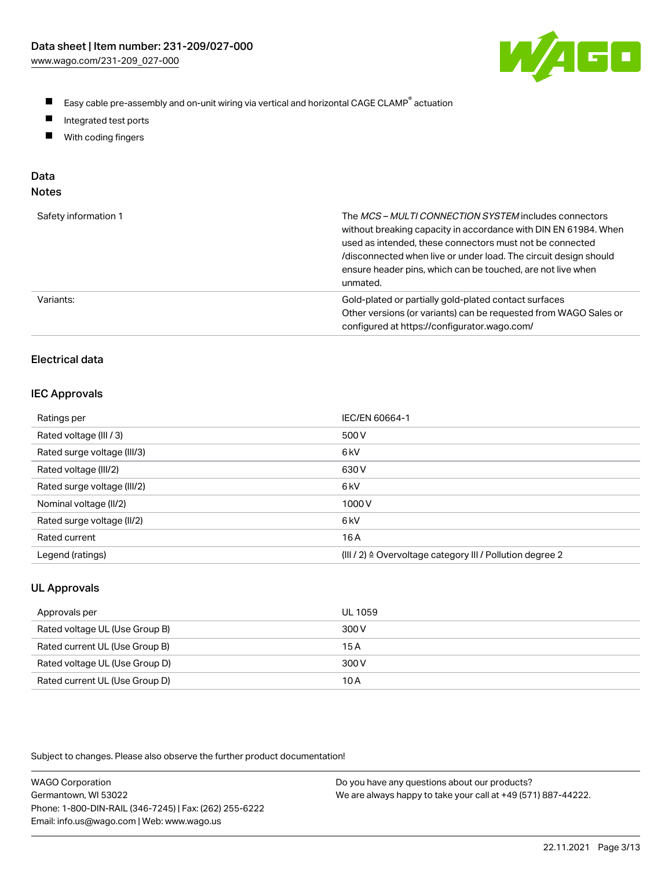

- $\blacksquare$ Easy cable pre-assembly and on-unit wiring via vertical and horizontal CAGE CLAMP<sup>®</sup> actuation
- $\blacksquare$ Integrated test ports
- $\blacksquare$ With coding fingers

# Data

| ×<br>×<br>w<br>٠<br>۹<br>۰, |  |
|-----------------------------|--|
|-----------------------------|--|

| Safety information 1 | The MCS-MULTI CONNECTION SYSTEM includes connectors<br>without breaking capacity in accordance with DIN EN 61984. When<br>used as intended, these connectors must not be connected<br>/disconnected when live or under load. The circuit design should<br>ensure header pins, which can be touched, are not live when<br>unmated. |
|----------------------|-----------------------------------------------------------------------------------------------------------------------------------------------------------------------------------------------------------------------------------------------------------------------------------------------------------------------------------|
| Variants:            | Gold-plated or partially gold-plated contact surfaces<br>Other versions (or variants) can be requested from WAGO Sales or<br>configured at https://configurator.wago.com/                                                                                                                                                         |

# Electrical data

### IEC Approvals

| Ratings per                 | IEC/EN 60664-1                                                        |
|-----------------------------|-----------------------------------------------------------------------|
| Rated voltage (III / 3)     | 500 V                                                                 |
| Rated surge voltage (III/3) | 6 <sub>k</sub> V                                                      |
| Rated voltage (III/2)       | 630 V                                                                 |
| Rated surge voltage (III/2) | 6 <sub>k</sub> V                                                      |
| Nominal voltage (II/2)      | 1000V                                                                 |
| Rated surge voltage (II/2)  | 6 <sub>k</sub> V                                                      |
| Rated current               | 16 A                                                                  |
| Legend (ratings)            | $(III / 2)$ $\triangle$ Overvoltage category III / Pollution degree 2 |

# UL Approvals

| Approvals per                  | UL 1059 |
|--------------------------------|---------|
| Rated voltage UL (Use Group B) | 300 V   |
| Rated current UL (Use Group B) | 15 A    |
| Rated voltage UL (Use Group D) | 300 V   |
| Rated current UL (Use Group D) | 10 A    |

Subject to changes. Please also observe the further product documentation!

| <b>WAGO Corporation</b>                                | Do you have any questions about our products?                 |
|--------------------------------------------------------|---------------------------------------------------------------|
| Germantown, WI 53022                                   | We are always happy to take your call at +49 (571) 887-44222. |
| Phone: 1-800-DIN-RAIL (346-7245)   Fax: (262) 255-6222 |                                                               |
| Email: info.us@wago.com   Web: www.wago.us             |                                                               |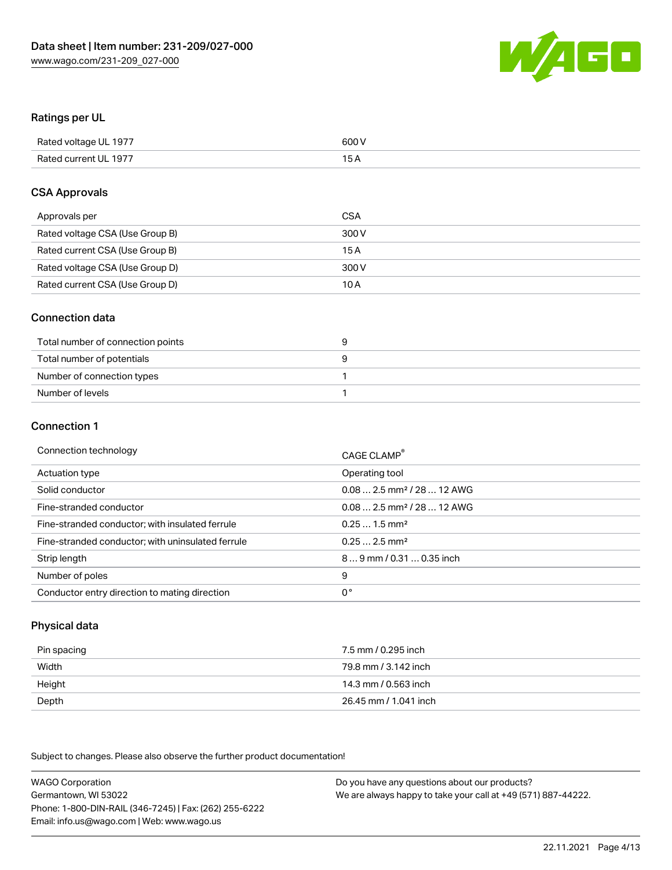

## Ratings per UL

| Rated voltage UL 1977 | 600 V |
|-----------------------|-------|
| Rated current UL 1977 | 1 E   |

### CSA Approvals

| Approvals per                   | CSA   |
|---------------------------------|-------|
| Rated voltage CSA (Use Group B) | 300 V |
| Rated current CSA (Use Group B) | 15 A  |
| Rated voltage CSA (Use Group D) | 300 V |
| Rated current CSA (Use Group D) | 10 A  |

## Connection data

| Total number of connection points |  |
|-----------------------------------|--|
| Total number of potentials        |  |
| Number of connection types        |  |
| Number of levels                  |  |

### Connection 1

| Connection technology                             | CAGE CLAMP <sup>®</sup>                 |
|---------------------------------------------------|-----------------------------------------|
| Actuation type                                    | Operating tool                          |
| Solid conductor                                   | $0.08$ 2.5 mm <sup>2</sup> / 28  12 AWG |
| Fine-stranded conductor                           | $0.082.5$ mm <sup>2</sup> / 28  12 AWG  |
| Fine-stranded conductor; with insulated ferrule   | $0.251.5$ mm <sup>2</sup>               |
| Fine-stranded conductor; with uninsulated ferrule | $0.252.5$ mm <sup>2</sup>               |
| Strip length                                      | 89 mm / 0.31  0.35 inch                 |
| Number of poles                                   | 9                                       |
| Conductor entry direction to mating direction     | 0°                                      |

# Physical data

| Pin spacing | 7.5 mm / 0.295 inch   |
|-------------|-----------------------|
| Width       | 79.8 mm / 3.142 inch  |
| Height      | 14.3 mm / 0.563 inch  |
| Depth       | 26.45 mm / 1.041 inch |

Subject to changes. Please also observe the further product documentation!

WAGO Corporation Germantown, WI 53022 Phone: 1-800-DIN-RAIL (346-7245) | Fax: (262) 255-6222 Email: info.us@wago.com | Web: www.wago.us Do you have any questions about our products? We are always happy to take your call at +49 (571) 887-44222.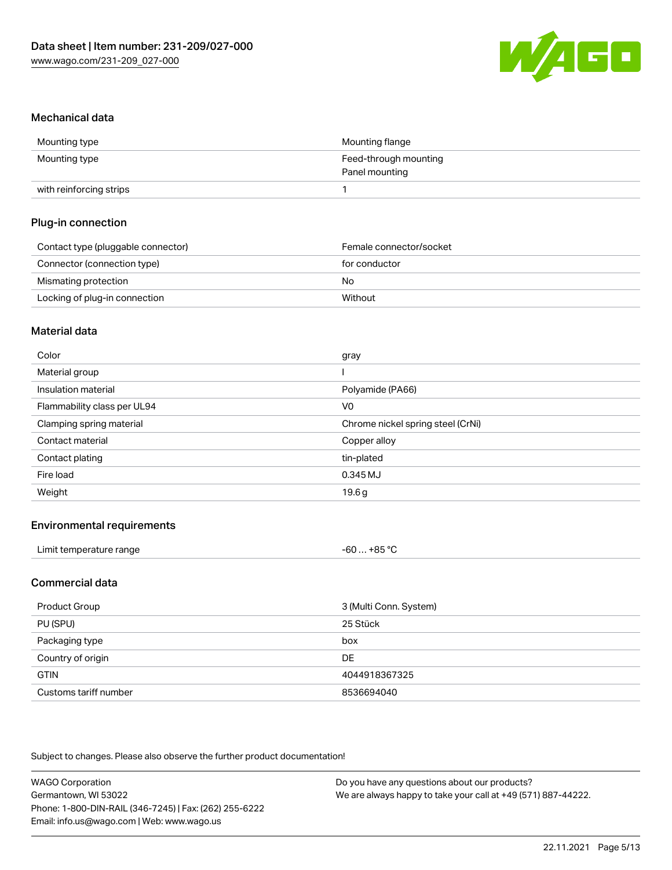

### Mechanical data

| Mounting type           | Mounting flange       |
|-------------------------|-----------------------|
| Mounting type           | Feed-through mounting |
|                         | Panel mounting        |
| with reinforcing strips |                       |

# Plug-in connection

| Contact type (pluggable connector) | Female connector/socket |
|------------------------------------|-------------------------|
| Connector (connection type)        | for conductor           |
| Mismating protection               | No                      |
| Locking of plug-in connection      | Without                 |

### Material data

| Color                       | gray                              |
|-----------------------------|-----------------------------------|
| Material group              |                                   |
| Insulation material         | Polyamide (PA66)                  |
| Flammability class per UL94 | V0                                |
| Clamping spring material    | Chrome nickel spring steel (CrNi) |
| Contact material            | Copper alloy                      |
| Contact plating             | tin-plated                        |
| Fire load                   | 0.345 MJ                          |
| Weight                      | 19.6g                             |

# Environmental requirements

| Limit temperature range | $-60+85 °C$ |  |
|-------------------------|-------------|--|
|-------------------------|-------------|--|

# Commercial data

| Product Group         | 3 (Multi Conn. System) |
|-----------------------|------------------------|
| PU (SPU)              | 25 Stück               |
| Packaging type        | box                    |
| Country of origin     | <b>DE</b>              |
| <b>GTIN</b>           | 4044918367325          |
| Customs tariff number | 8536694040             |

Subject to changes. Please also observe the further product documentation!

| <b>WAGO Corporation</b>                                | Do you have any questions about our products?                 |
|--------------------------------------------------------|---------------------------------------------------------------|
| Germantown, WI 53022                                   | We are always happy to take your call at +49 (571) 887-44222. |
| Phone: 1-800-DIN-RAIL (346-7245)   Fax: (262) 255-6222 |                                                               |
| Email: info.us@wago.com   Web: www.wago.us             |                                                               |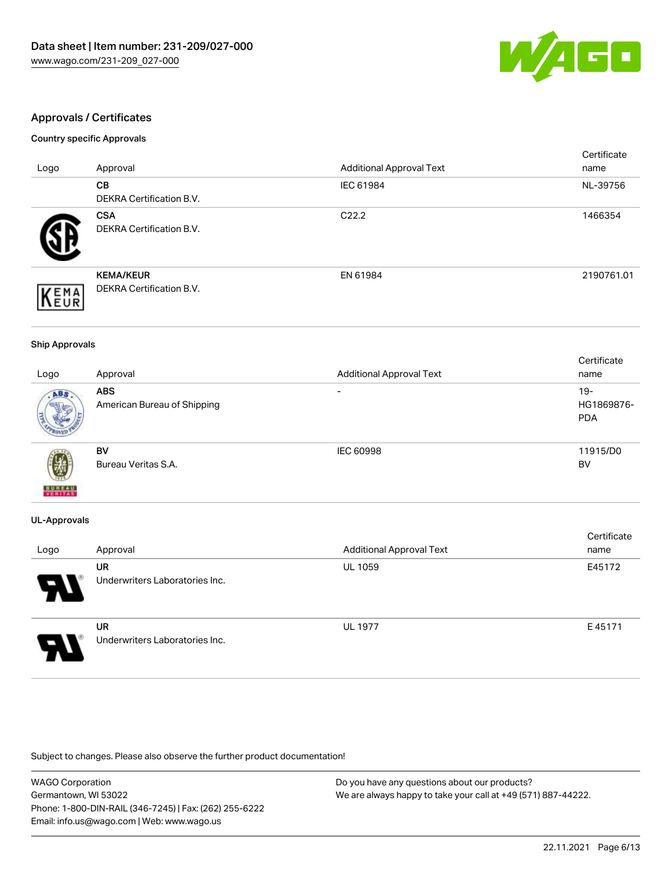

# Approvals / Certificates

### Country specific Approvals

|                     |                                                     |                                 | Certificate |
|---------------------|-----------------------------------------------------|---------------------------------|-------------|
| Logo                | Approval                                            | <b>Additional Approval Text</b> | name        |
|                     | CВ<br><b>DEKRA Certification B.V.</b>               | IEC 61984                       | NL-39756    |
|                     | <b>CSA</b><br>DEKRA Certification B.V.              | C <sub>22.2</sub>               | 1466354     |
| EMA<br><b>INEUR</b> | <b>KEMA/KEUR</b><br><b>DEKRA Certification B.V.</b> | EN 61984                        | 2190761.01  |

#### Ship Approvals

|                          |                             |                                 | Certificate |
|--------------------------|-----------------------------|---------------------------------|-------------|
| Logo                     | Approval                    | <b>Additional Approval Text</b> | name        |
| ABS.                     | <b>ABS</b>                  | $\overline{\phantom{0}}$        | $19 -$      |
|                          | American Bureau of Shipping |                                 | HG1869876-  |
|                          |                             |                                 | <b>PDA</b>  |
|                          |                             |                                 |             |
|                          | <b>BV</b>                   | IEC 60998                       | 11915/D0    |
| $\mathbb{Z}^5$           | Bureau Veritas S.A.         |                                 | <b>BV</b>   |
| <b>BUREAU</b><br>VERITAS |                             |                                 |             |

### UL-Approvals

| Logo                  | Approval                                    | <b>Additional Approval Text</b> | Certificate<br>name |
|-----------------------|---------------------------------------------|---------------------------------|---------------------|
| $\boldsymbol{\theta}$ | <b>UR</b><br>Underwriters Laboratories Inc. | <b>UL 1059</b>                  | E45172              |
| Э                     | <b>UR</b><br>Underwriters Laboratories Inc. | <b>UL 1977</b>                  | E45171              |

Subject to changes. Please also observe the further product documentation!

| <b>WAGO Corporation</b>                                | Do you have any questions about our products?                 |
|--------------------------------------------------------|---------------------------------------------------------------|
| Germantown, WI 53022                                   | We are always happy to take your call at +49 (571) 887-44222. |
| Phone: 1-800-DIN-RAIL (346-7245)   Fax: (262) 255-6222 |                                                               |
| Email: info.us@wago.com   Web: www.wago.us             |                                                               |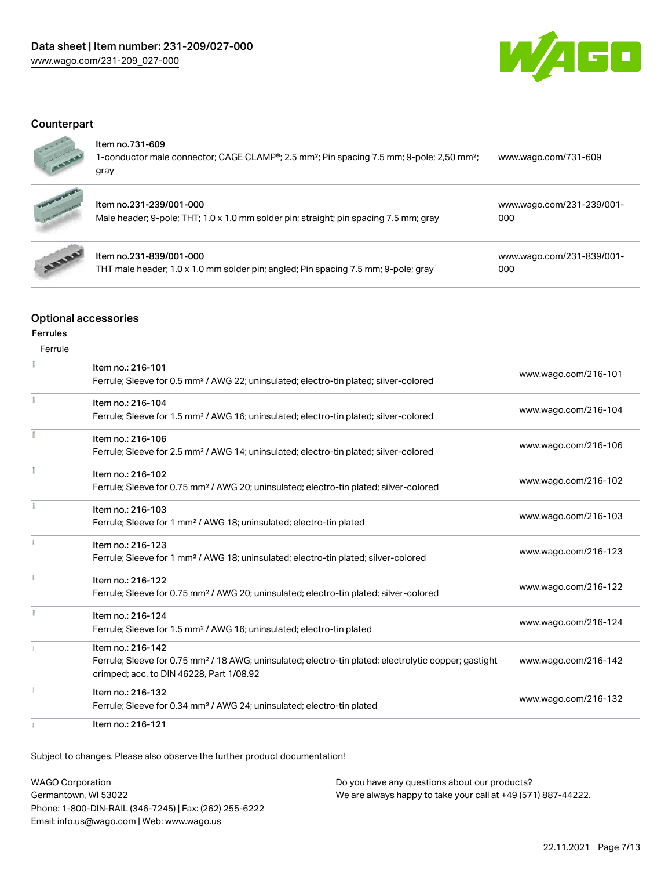

# **Counterpart**



#### Item no.731-609

1-conductor male connector; CAGE CLAMP®; 2.5 mm²; Pin spacing 7.5 mm; 9-pole; 2,50 mm²; gray [www.wago.com/731-609](https://www.wago.com/731-609)



## Item no.231-239/001-000

| Male header; 9-pole; THT; 1.0 x 1.0 mm solder pin; straight; pin spacing 7.5 mm; gray | 000 |
|---------------------------------------------------------------------------------------|-----|
|                                                                                       |     |



# Item no.231-839/001-000

THT male header; 1.0 x 1.0 mm solder pin; angled; Pin spacing 7.5 mm; 9-pole; gray

[www.wago.com/231-839/001-](https://www.wago.com/231-839/001-000) [000](https://www.wago.com/231-839/001-000)

[www.wago.com/231-239/001-](https://www.wago.com/231-239/001-000)

# Optional accessories

#### Ferrules

| Ferrule |                                                                                                                   |                      |
|---------|-------------------------------------------------------------------------------------------------------------------|----------------------|
|         | Item no.: 216-101                                                                                                 | www.wago.com/216-101 |
|         | Ferrule; Sleeve for 0.5 mm <sup>2</sup> / AWG 22; uninsulated; electro-tin plated; silver-colored                 |                      |
|         | Item no.: 216-104                                                                                                 |                      |
|         | Ferrule; Sleeve for 1.5 mm <sup>2</sup> / AWG 16; uninsulated; electro-tin plated; silver-colored                 | www.wago.com/216-104 |
|         | Item no.: 216-106                                                                                                 |                      |
|         | Ferrule; Sleeve for 2.5 mm <sup>2</sup> / AWG 14; uninsulated; electro-tin plated; silver-colored                 | www.wago.com/216-106 |
|         | Item no.: 216-102                                                                                                 |                      |
|         | Ferrule; Sleeve for 0.75 mm <sup>2</sup> / AWG 20; uninsulated; electro-tin plated; silver-colored                | www.wago.com/216-102 |
|         | Item no.: 216-103                                                                                                 |                      |
|         | Ferrule; Sleeve for 1 mm <sup>2</sup> / AWG 18; uninsulated; electro-tin plated                                   | www.wago.com/216-103 |
|         | Item no.: 216-123                                                                                                 |                      |
|         | Ferrule; Sleeve for 1 mm <sup>2</sup> / AWG 18; uninsulated; electro-tin plated; silver-colored                   | www.wago.com/216-123 |
|         | Item no.: 216-122                                                                                                 |                      |
|         | Ferrule; Sleeve for 0.75 mm <sup>2</sup> / AWG 20; uninsulated; electro-tin plated; silver-colored                | www.wago.com/216-122 |
|         | Item no.: 216-124                                                                                                 |                      |
|         | Ferrule; Sleeve for 1.5 mm <sup>2</sup> / AWG 16; uninsulated; electro-tin plated                                 | www.wago.com/216-124 |
|         | Item no.: 216-142                                                                                                 |                      |
|         | Ferrule; Sleeve for 0.75 mm <sup>2</sup> / 18 AWG; uninsulated; electro-tin plated; electrolytic copper; gastight | www.wago.com/216-142 |
|         | crimped; acc. to DIN 46228, Part 1/08.92                                                                          |                      |
|         | Item no.: 216-132                                                                                                 | www.wago.com/216-132 |
|         | Ferrule; Sleeve for 0.34 mm <sup>2</sup> / AWG 24; uninsulated; electro-tin plated                                |                      |
|         | Item no.: 216-121                                                                                                 |                      |

Subject to changes. Please also observe the further product documentation!

WAGO Corporation Germantown, WI 53022 Phone: 1-800-DIN-RAIL (346-7245) | Fax: (262) 255-6222 Email: info.us@wago.com | Web: www.wago.us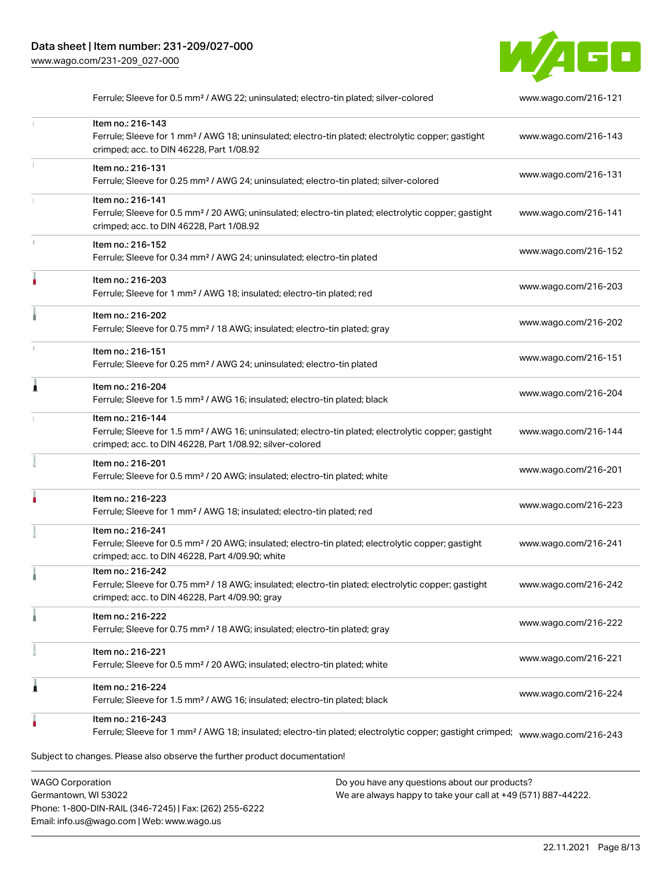

|   | Ferrule; Sleeve for 0.5 mm <sup>2</sup> / AWG 22; uninsulated; electro-tin plated; silver-colored                                                                                                 | www.wago.com/216-121 |
|---|---------------------------------------------------------------------------------------------------------------------------------------------------------------------------------------------------|----------------------|
|   | Item no.: 216-143<br>Ferrule; Sleeve for 1 mm <sup>2</sup> / AWG 18; uninsulated; electro-tin plated; electrolytic copper; gastight<br>crimped; acc. to DIN 46228, Part 1/08.92                   | www.wago.com/216-143 |
|   | Item no.: 216-131<br>Ferrule; Sleeve for 0.25 mm <sup>2</sup> / AWG 24; uninsulated; electro-tin plated; silver-colored                                                                           | www.wago.com/216-131 |
|   | Item no.: 216-141<br>Ferrule; Sleeve for 0.5 mm <sup>2</sup> / 20 AWG; uninsulated; electro-tin plated; electrolytic copper; gastight<br>crimped; acc. to DIN 46228, Part 1/08.92                 | www.wago.com/216-141 |
|   | Item no.: 216-152<br>Ferrule; Sleeve for 0.34 mm <sup>2</sup> / AWG 24; uninsulated; electro-tin plated                                                                                           | www.wago.com/216-152 |
|   | Item no.: 216-203<br>Ferrule; Sleeve for 1 mm <sup>2</sup> / AWG 18; insulated; electro-tin plated; red                                                                                           | www.wago.com/216-203 |
|   | Item no.: 216-202<br>Ferrule; Sleeve for 0.75 mm <sup>2</sup> / 18 AWG; insulated; electro-tin plated; gray                                                                                       | www.wago.com/216-202 |
|   | Item no.: 216-151<br>Ferrule; Sleeve for 0.25 mm <sup>2</sup> / AWG 24; uninsulated; electro-tin plated                                                                                           | www.wago.com/216-151 |
|   | Item no.: 216-204<br>Ferrule; Sleeve for 1.5 mm <sup>2</sup> / AWG 16; insulated; electro-tin plated; black                                                                                       | www.wago.com/216-204 |
|   | Item no.: 216-144<br>Ferrule; Sleeve for 1.5 mm <sup>2</sup> / AWG 16; uninsulated; electro-tin plated; electrolytic copper; gastight<br>crimped; acc. to DIN 46228, Part 1/08.92; silver-colored | www.wago.com/216-144 |
|   | Item no.: 216-201<br>Ferrule; Sleeve for 0.5 mm <sup>2</sup> / 20 AWG; insulated; electro-tin plated; white                                                                                       | www.wago.com/216-201 |
|   | Item no.: 216-223<br>Ferrule; Sleeve for 1 mm <sup>2</sup> / AWG 18; insulated; electro-tin plated; red                                                                                           | www.wago.com/216-223 |
|   | Item no.: 216-241<br>Ferrule; Sleeve for 0.5 mm <sup>2</sup> / 20 AWG; insulated; electro-tin plated; electrolytic copper; gastight<br>crimped; acc. to DIN 46228, Part 4/09.90; white            | www.wago.com/216-241 |
|   | Item no.: 216-242<br>Ferrule; Sleeve for 0.75 mm <sup>2</sup> / 18 AWG; insulated; electro-tin plated; electrolytic copper; gastight<br>crimped; acc. to DIN 46228, Part 4/09.90; gray            | www.wago.com/216-242 |
|   | Item no.: 216-222<br>Ferrule; Sleeve for 0.75 mm <sup>2</sup> / 18 AWG; insulated; electro-tin plated; gray                                                                                       | www.wago.com/216-222 |
|   | Item no.: 216-221<br>Ferrule; Sleeve for 0.5 mm <sup>2</sup> / 20 AWG; insulated; electro-tin plated; white                                                                                       | www.wago.com/216-221 |
| 1 | Item no.: 216-224<br>Ferrule; Sleeve for 1.5 mm <sup>2</sup> / AWG 16; insulated; electro-tin plated; black                                                                                       | www.wago.com/216-224 |
|   | Item no.: 216-243<br>Ferrule; Sleeve for 1 mm <sup>2</sup> / AWG 18; insulated; electro-tin plated; electrolytic copper; gastight crimped;                                                        | www.wago.com/216-243 |
|   | Subject to changes. Please also observe the further product documentation!                                                                                                                        |                      |

WAGO Corporation Germantown, WI 53022 Phone: 1-800-DIN-RAIL (346-7245) | Fax: (262) 255-6222 Email: info.us@wago.com | Web: www.wago.us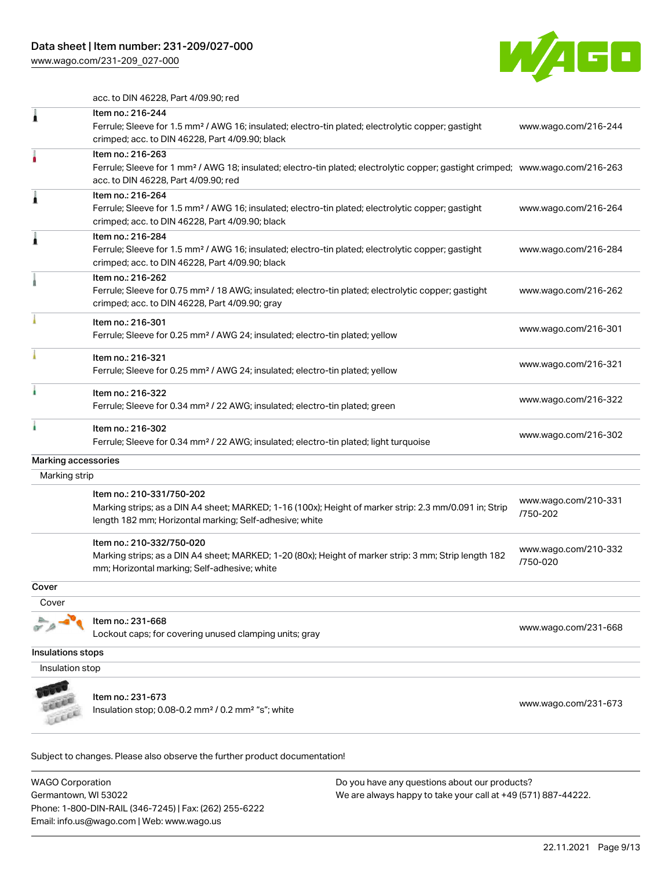[www.wago.com/231-209\\_027-000](http://www.wago.com/231-209_027-000)



acc. to DIN 46228, Part 4/09.90; red

|                     | Item no.: 216-244<br>Ferrule; Sleeve for 1.5 mm <sup>2</sup> / AWG 16; insulated; electro-tin plated; electrolytic copper; gastight<br>crimped; acc. to DIN 46228, Part 4/09.90; black                  | www.wago.com/216-244             |
|---------------------|---------------------------------------------------------------------------------------------------------------------------------------------------------------------------------------------------------|----------------------------------|
|                     |                                                                                                                                                                                                         |                                  |
|                     | Item no.: 216-263<br>Ferrule; Sleeve for 1 mm <sup>2</sup> / AWG 18; insulated; electro-tin plated; electrolytic copper; gastight crimped; www.wago.com/216-263<br>acc. to DIN 46228, Part 4/09.90; red |                                  |
|                     | Item no.: 216-264<br>Ferrule; Sleeve for 1.5 mm <sup>2</sup> / AWG 16; insulated; electro-tin plated; electrolytic copper; gastight<br>crimped; acc. to DIN 46228, Part 4/09.90; black                  | www.wago.com/216-264             |
|                     | Item no.: 216-284<br>Ferrule; Sleeve for 1.5 mm <sup>2</sup> / AWG 16; insulated; electro-tin plated; electrolytic copper; gastight<br>crimped; acc. to DIN 46228, Part 4/09.90; black                  | www.wago.com/216-284             |
|                     | Item no.: 216-262<br>Ferrule; Sleeve for 0.75 mm <sup>2</sup> / 18 AWG; insulated; electro-tin plated; electrolytic copper; gastight<br>crimped; acc. to DIN 46228, Part 4/09.90; gray                  | www.wago.com/216-262             |
|                     | Item no.: 216-301<br>Ferrule; Sleeve for 0.25 mm <sup>2</sup> / AWG 24; insulated; electro-tin plated; yellow                                                                                           | www.wago.com/216-301             |
|                     | Item no.: 216-321<br>Ferrule; Sleeve for 0.25 mm <sup>2</sup> / AWG 24; insulated; electro-tin plated; yellow                                                                                           | www.wago.com/216-321             |
|                     | Item no.: 216-322<br>Ferrule; Sleeve for 0.34 mm <sup>2</sup> / 22 AWG; insulated; electro-tin plated; green                                                                                            | www.wago.com/216-322             |
|                     | Item no.: 216-302<br>Ferrule; Sleeve for 0.34 mm <sup>2</sup> / 22 AWG; insulated; electro-tin plated; light turquoise                                                                                  | www.wago.com/216-302             |
| Marking accessories |                                                                                                                                                                                                         |                                  |
| Marking strip       |                                                                                                                                                                                                         |                                  |
|                     | Item no.: 210-331/750-202<br>Marking strips; as a DIN A4 sheet; MARKED; 1-16 (100x); Height of marker strip: 2.3 mm/0.091 in; Strip<br>length 182 mm; Horizontal marking; Self-adhesive; white          | www.wago.com/210-331<br>/750-202 |
|                     | Item no.: 210-332/750-020<br>Marking strips; as a DIN A4 sheet; MARKED; 1-20 (80x); Height of marker strip: 3 mm; Strip length 182<br>mm; Horizontal marking; Self-adhesive; white                      | www.wago.com/210-332<br>/750-020 |
| Cover               |                                                                                                                                                                                                         |                                  |
| Cover               |                                                                                                                                                                                                         |                                  |
|                     | Item no.: 231-668<br>Lockout caps; for covering unused clamping units; gray                                                                                                                             | www.wago.com/231-668             |
| Insulations stops   |                                                                                                                                                                                                         |                                  |
| Insulation stop     |                                                                                                                                                                                                         |                                  |
|                     | Item no.: 231-673<br>Insulation stop; $0.08$ -0.2 mm <sup>2</sup> / $0.2$ mm <sup>2</sup> "s"; white                                                                                                    | www.wago.com/231-673             |

Subject to changes. Please also observe the further product documentation!

WAGO Corporation Germantown, WI 53022 Phone: 1-800-DIN-RAIL (346-7245) | Fax: (262) 255-6222 Email: info.us@wago.com | Web: www.wago.us Do you have any questions about our products? We are always happy to take your call at +49 (571) 887-44222.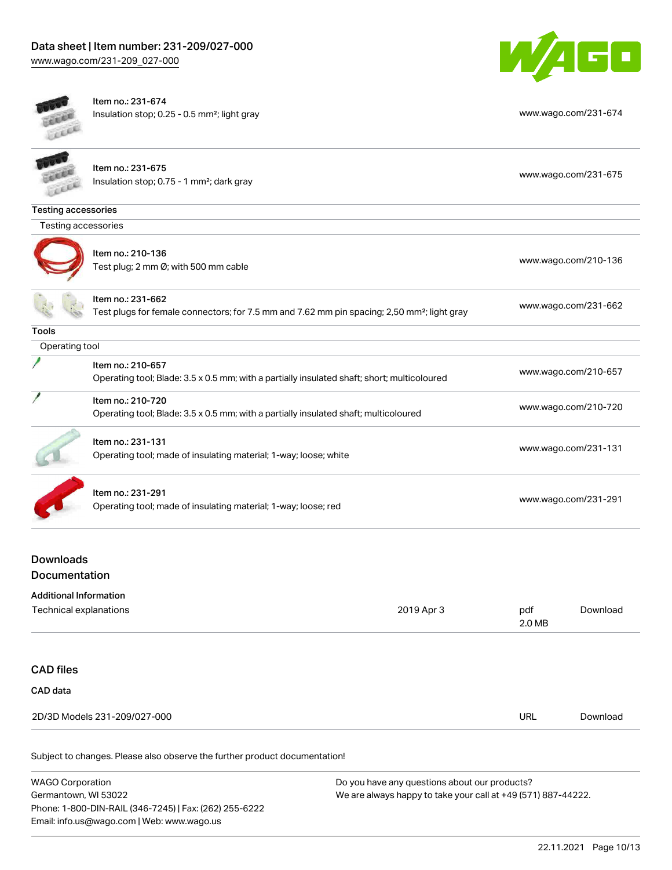



ÿ

Item no.: 231-674 Insulation stop; 0.25 - 0.5 mm²; light gray [www.wago.com/231-674](http://www.wago.com/231-674)

|                            | Item no.: 231-675<br>Insulation stop; 0.75 - 1 mm <sup>2</sup> ; dark gray                                                   | www.wago.com/231-675 |  |  |  |  |
|----------------------------|------------------------------------------------------------------------------------------------------------------------------|----------------------|--|--|--|--|
| <b>Testing accessories</b> |                                                                                                                              |                      |  |  |  |  |
| Testing accessories        |                                                                                                                              |                      |  |  |  |  |
|                            | Item no.: 210-136<br>Test plug; 2 mm Ø; with 500 mm cable                                                                    | www.wago.com/210-136 |  |  |  |  |
|                            | Item no.: 231-662<br>Test plugs for female connectors; for 7.5 mm and 7.62 mm pin spacing; 2,50 mm <sup>2</sup> ; light gray | www.wago.com/231-662 |  |  |  |  |
| Tools                      |                                                                                                                              |                      |  |  |  |  |
| Operating tool             |                                                                                                                              |                      |  |  |  |  |
|                            | Item no.: 210-657<br>Operating tool; Blade: 3.5 x 0.5 mm; with a partially insulated shaft; short; multicoloured             | www.wago.com/210-657 |  |  |  |  |
|                            | Item no.: 210-720<br>Operating tool; Blade: 3.5 x 0.5 mm; with a partially insulated shaft; multicoloured                    | www.wago.com/210-720 |  |  |  |  |
|                            | Item no.: 231-131<br>Operating tool; made of insulating material; 1-way; loose; white                                        | www.wago.com/231-131 |  |  |  |  |
|                            | Item no.: 231-291<br>Operating tool; made of insulating material; 1-way; loose; red                                          | www.wago.com/231-291 |  |  |  |  |

# Downloads Documentation

| <b>Additional Information</b><br>Technical explanations | 2019 Apr 3 | pdf<br>2.0 MB | Download |
|---------------------------------------------------------|------------|---------------|----------|
| <b>CAD files</b><br>CAD data                            |            |               |          |
| 2D/3D Models 231-209/027-000                            |            | URL           | Download |
|                                                         |            |               |          |

Subject to changes. Please also observe the further product documentation!

WAGO Corporation Germantown, WI 53022 Phone: 1-800-DIN-RAIL (346-7245) | Fax: (262) 255-6222 Email: info.us@wago.com | Web: www.wago.us Do you have any questions about our products? We are always happy to take your call at +49 (571) 887-44222.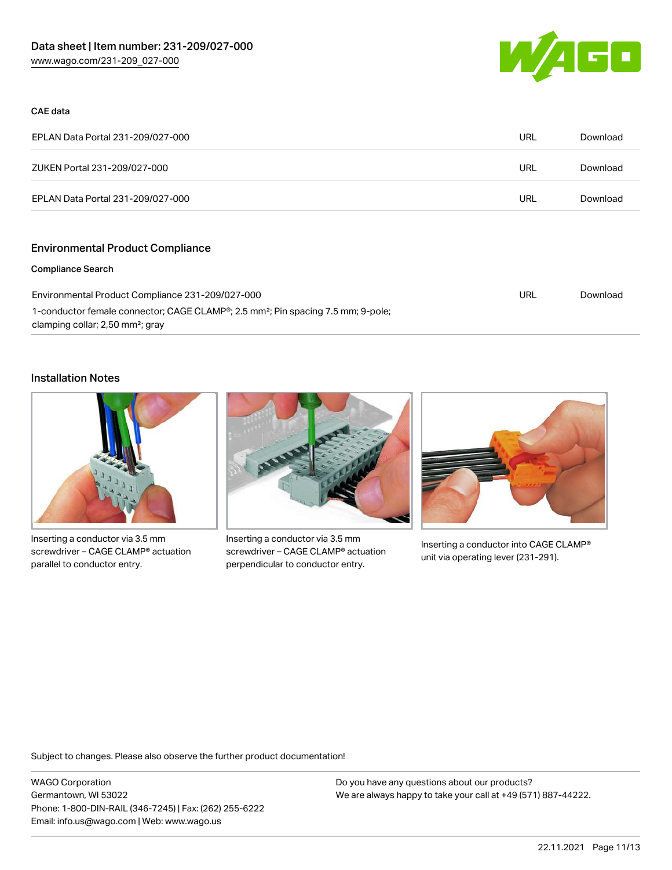

#### CAE data

| EPLAN Data Portal 231-209/027-000 | URL | Download |
|-----------------------------------|-----|----------|
| ZUKEN Portal 231-209/027-000      | URL | Download |
| EPLAN Data Portal 231-209/027-000 | URL | Download |

# Environmental Product Compliance

#### Compliance Search

| Environmental Product Compliance 231-209/027-000                                                          | URL | Download |
|-----------------------------------------------------------------------------------------------------------|-----|----------|
| 1-conductor female connector; CAGE CLAMP <sup>®</sup> ; 2.5 mm <sup>2</sup> ; Pin spacing 7.5 mm; 9-pole; |     |          |
| clamping collar; 2,50 mm <sup>2</sup> ; gray                                                              |     |          |

#### Installation Notes



Inserting a conductor via 3.5 mm screwdriver – CAGE CLAMP® actuation parallel to conductor entry.



Inserting a conductor via 3.5 mm screwdriver – CAGE CLAMP® actuation perpendicular to conductor entry.



Inserting a conductor into CAGE CLAMP® unit via operating lever (231-291).

Subject to changes. Please also observe the further product documentation!

WAGO Corporation Germantown, WI 53022 Phone: 1-800-DIN-RAIL (346-7245) | Fax: (262) 255-6222 Email: info.us@wago.com | Web: www.wago.us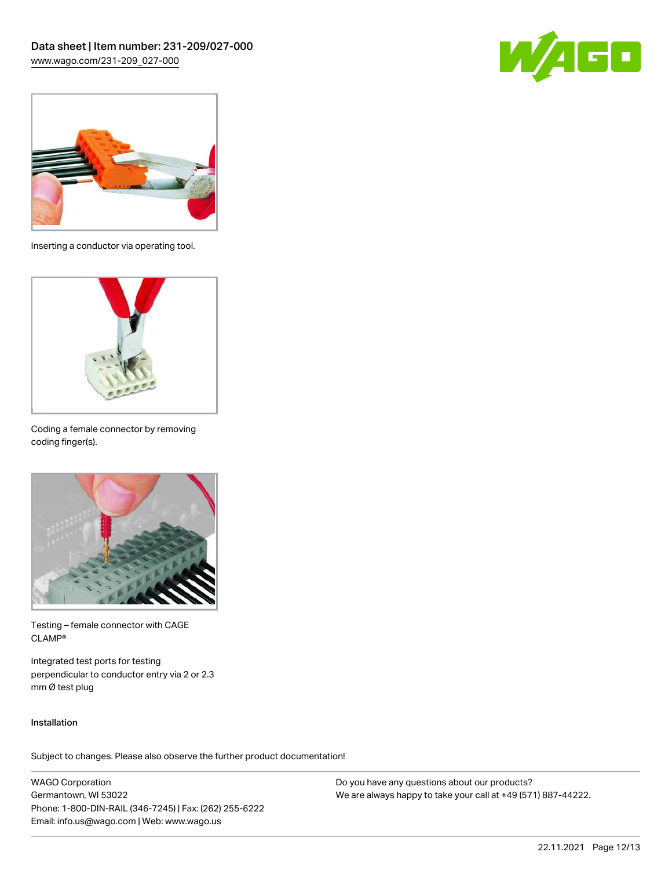



Inserting a conductor via operating tool.



Coding a female connector by removing coding finger(s).



Testing – female connector with CAGE CLAMP®

Integrated test ports for testing perpendicular to conductor entry via 2 or 2.3 mm Ø test plug

#### Installation

Subject to changes. Please also observe the further product documentation!

WAGO Corporation Germantown, WI 53022 Phone: 1-800-DIN-RAIL (346-7245) | Fax: (262) 255-6222 Email: info.us@wago.com | Web: www.wago.us